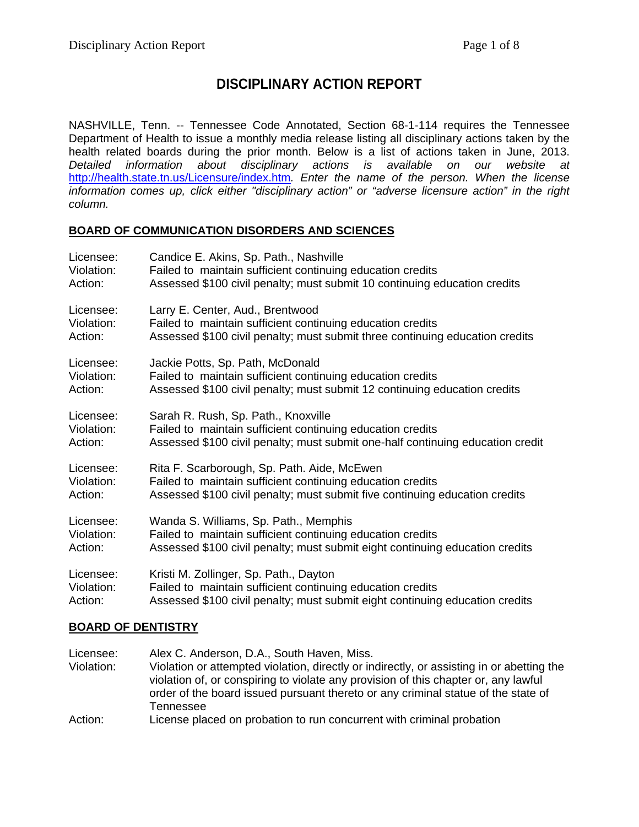## **DISCIPLINARY ACTION REPORT**

NASHVILLE, Tenn. -- Tennessee Code Annotated, Section 68-1-114 requires the Tennessee Department of Health to issue a monthly media release listing all disciplinary actions taken by the health related boards during the prior month. Below is a list of actions taken in June, 2013. *Detailed information about disciplinary actions is available on our website at*  <http://health.state.tn.us/Licensure/index.htm>*. Enter the name of the person. When the license information comes up, click either "disciplinary action" or "adverse licensure action" in the right column.*

#### **BOARD OF COMMUNICATION DISORDERS AND SCIENCES**

| Licensee:  | Candice E. Akins, Sp. Path., Nashville                                         |
|------------|--------------------------------------------------------------------------------|
| Violation: | Failed to maintain sufficient continuing education credits                     |
| Action:    | Assessed \$100 civil penalty; must submit 10 continuing education credits      |
| Licensee:  | Larry E. Center, Aud., Brentwood                                               |
| Violation: | Failed to maintain sufficient continuing education credits                     |
| Action:    | Assessed \$100 civil penalty; must submit three continuing education credits   |
| Licensee:  | Jackie Potts, Sp. Path, McDonald                                               |
| Violation: | Failed to maintain sufficient continuing education credits                     |
| Action:    | Assessed \$100 civil penalty; must submit 12 continuing education credits      |
| Licensee:  | Sarah R. Rush, Sp. Path., Knoxville                                            |
| Violation: | Failed to maintain sufficient continuing education credits                     |
| Action:    | Assessed \$100 civil penalty; must submit one-half continuing education credit |
| Licensee:  | Rita F. Scarborough, Sp. Path. Aide, McEwen                                    |
| Violation: | Failed to maintain sufficient continuing education credits                     |
| Action:    | Assessed \$100 civil penalty; must submit five continuing education credits    |
| Licensee:  | Wanda S. Williams, Sp. Path., Memphis                                          |
| Violation: | Failed to maintain sufficient continuing education credits                     |
| Action:    | Assessed \$100 civil penalty; must submit eight continuing education credits   |
| Licensee:  | Kristi M. Zollinger, Sp. Path., Dayton                                         |
| Violation: | Failed to maintain sufficient continuing education credits                     |
| Action:    | Assessed \$100 civil penalty; must submit eight continuing education credits   |

#### **BOARD OF DENTISTRY**

| Licensee:  | Alex C. Anderson, D.A., South Haven, Miss.                                                                                                                                                                                                                                         |
|------------|------------------------------------------------------------------------------------------------------------------------------------------------------------------------------------------------------------------------------------------------------------------------------------|
| Violation: | Violation or attempted violation, directly or indirectly, or assisting in or abetting the<br>violation of, or conspiring to violate any provision of this chapter or, any lawful<br>order of the board issued pursuant thereto or any criminal statue of the state of<br>Tennessee |
| Action:    | License placed on probation to run concurrent with criminal probation                                                                                                                                                                                                              |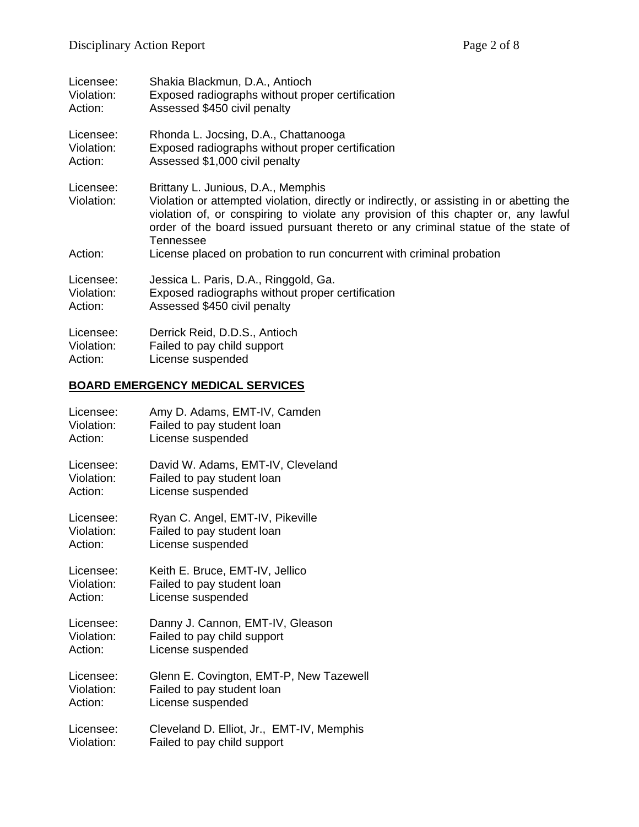| Licensee:                          | Shakia Blackmun, D.A., Antioch                                                                                                                                                                                                                                                                                                                                                                    |
|------------------------------------|---------------------------------------------------------------------------------------------------------------------------------------------------------------------------------------------------------------------------------------------------------------------------------------------------------------------------------------------------------------------------------------------------|
| Violation:                         | Exposed radiographs without proper certification                                                                                                                                                                                                                                                                                                                                                  |
| Action:                            | Assessed \$450 civil penalty                                                                                                                                                                                                                                                                                                                                                                      |
| Licensee:                          | Rhonda L. Jocsing, D.A., Chattanooga                                                                                                                                                                                                                                                                                                                                                              |
| Violation:                         | Exposed radiographs without proper certification                                                                                                                                                                                                                                                                                                                                                  |
| Action:                            | Assessed \$1,000 civil penalty                                                                                                                                                                                                                                                                                                                                                                    |
| Licensee:<br>Violation:<br>Action: | Brittany L. Junious, D.A., Memphis<br>Violation or attempted violation, directly or indirectly, or assisting in or abetting the<br>violation of, or conspiring to violate any provision of this chapter or, any lawful<br>order of the board issued pursuant thereto or any criminal statue of the state of<br>Tennessee<br>License placed on probation to run concurrent with criminal probation |
| Licensee:                          | Jessica L. Paris, D.A., Ringgold, Ga.                                                                                                                                                                                                                                                                                                                                                             |
| Violation:                         | Exposed radiographs without proper certification                                                                                                                                                                                                                                                                                                                                                  |
| Action:                            | Assessed \$450 civil penalty                                                                                                                                                                                                                                                                                                                                                                      |
| Licensee:                          | Derrick Reid, D.D.S., Antioch                                                                                                                                                                                                                                                                                                                                                                     |
| Violation:                         | Failed to pay child support                                                                                                                                                                                                                                                                                                                                                                       |
| Action:                            | License suspended                                                                                                                                                                                                                                                                                                                                                                                 |

# **BOARD EMERGENCY MEDICAL SERVICES**

| Licensee:  | Amy D. Adams, EMT-IV, Camden              |
|------------|-------------------------------------------|
| Violation: | Failed to pay student loan                |
| Action:    | License suspended                         |
| Licensee:  | David W. Adams, EMT-IV, Cleveland         |
| Violation: | Failed to pay student loan                |
| Action:    | License suspended                         |
| Licensee:  | Ryan C. Angel, EMT-IV, Pikeville          |
| Violation: | Failed to pay student loan                |
| Action:    | License suspended                         |
| Licensee:  | Keith E. Bruce, EMT-IV, Jellico           |
| Violation: | Failed to pay student loan                |
| Action:    | License suspended                         |
| Licensee:  | Danny J. Cannon, EMT-IV, Gleason          |
| Violation: | Failed to pay child support               |
| Action:    | License suspended                         |
| Licensee:  | Glenn E. Covington, EMT-P, New Tazewell   |
| Violation: | Failed to pay student loan                |
| Action:    | License suspended                         |
| Licensee:  | Cleveland D. Elliot, Jr., EMT-IV, Memphis |
| Violation: | Failed to pay child support               |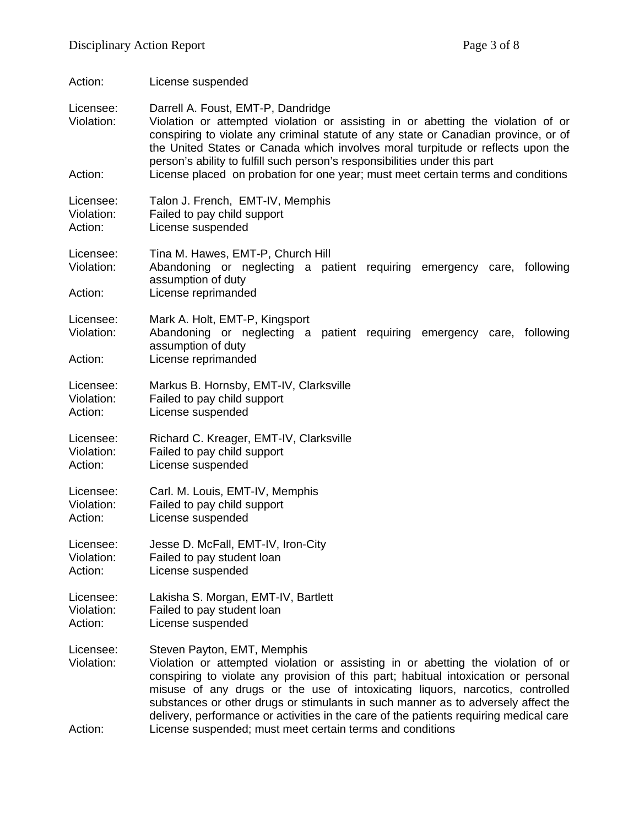| Action:                            | License suspended                                                                                                                                                                                                                                                                                                                                                                                                                                                                                                                   |  |
|------------------------------------|-------------------------------------------------------------------------------------------------------------------------------------------------------------------------------------------------------------------------------------------------------------------------------------------------------------------------------------------------------------------------------------------------------------------------------------------------------------------------------------------------------------------------------------|--|
| Licensee:<br>Violation:<br>Action: | Darrell A. Foust, EMT-P, Dandridge<br>Violation or attempted violation or assisting in or abetting the violation of or<br>conspiring to violate any criminal statute of any state or Canadian province, or of<br>the United States or Canada which involves moral turpitude or reflects upon the<br>person's ability to fulfill such person's responsibilities under this part<br>License placed on probation for one year; must meet certain terms and conditions                                                                  |  |
|                                    |                                                                                                                                                                                                                                                                                                                                                                                                                                                                                                                                     |  |
| Licensee:<br>Violation:<br>Action: | Talon J. French, EMT-IV, Memphis<br>Failed to pay child support<br>License suspended                                                                                                                                                                                                                                                                                                                                                                                                                                                |  |
| Licensee:<br>Violation:            | Tina M. Hawes, EMT-P, Church Hill<br>Abandoning or neglecting a patient requiring emergency care, following<br>assumption of duty                                                                                                                                                                                                                                                                                                                                                                                                   |  |
| Action:                            | License reprimanded                                                                                                                                                                                                                                                                                                                                                                                                                                                                                                                 |  |
| Licensee:<br>Violation:            | Mark A. Holt, EMT-P, Kingsport<br>Abandoning or neglecting a patient requiring emergency care, following<br>assumption of duty                                                                                                                                                                                                                                                                                                                                                                                                      |  |
| Action:                            | License reprimanded                                                                                                                                                                                                                                                                                                                                                                                                                                                                                                                 |  |
| Licensee:<br>Violation:<br>Action: | Markus B. Hornsby, EMT-IV, Clarksville<br>Failed to pay child support<br>License suspended                                                                                                                                                                                                                                                                                                                                                                                                                                          |  |
| Licensee:<br>Violation:<br>Action: | Richard C. Kreager, EMT-IV, Clarksville<br>Failed to pay child support<br>License suspended                                                                                                                                                                                                                                                                                                                                                                                                                                         |  |
| Licensee:<br>Violation:<br>Action: | Carl. M. Louis, EMT-IV, Memphis<br>Failed to pay child support<br>License suspended                                                                                                                                                                                                                                                                                                                                                                                                                                                 |  |
| Licensee:<br>Violation:<br>Action: | Jesse D. McFall, EMT-IV, Iron-City<br>Failed to pay student loan<br>License suspended                                                                                                                                                                                                                                                                                                                                                                                                                                               |  |
| Licensee:<br>Violation:<br>Action: | Lakisha S. Morgan, EMT-IV, Bartlett<br>Failed to pay student loan<br>License suspended                                                                                                                                                                                                                                                                                                                                                                                                                                              |  |
| Licensee:<br>Violation:<br>Action: | Steven Payton, EMT, Memphis<br>Violation or attempted violation or assisting in or abetting the violation of or<br>conspiring to violate any provision of this part; habitual intoxication or personal<br>misuse of any drugs or the use of intoxicating liquors, narcotics, controlled<br>substances or other drugs or stimulants in such manner as to adversely affect the<br>delivery, performance or activities in the care of the patients requiring medical care<br>License suspended; must meet certain terms and conditions |  |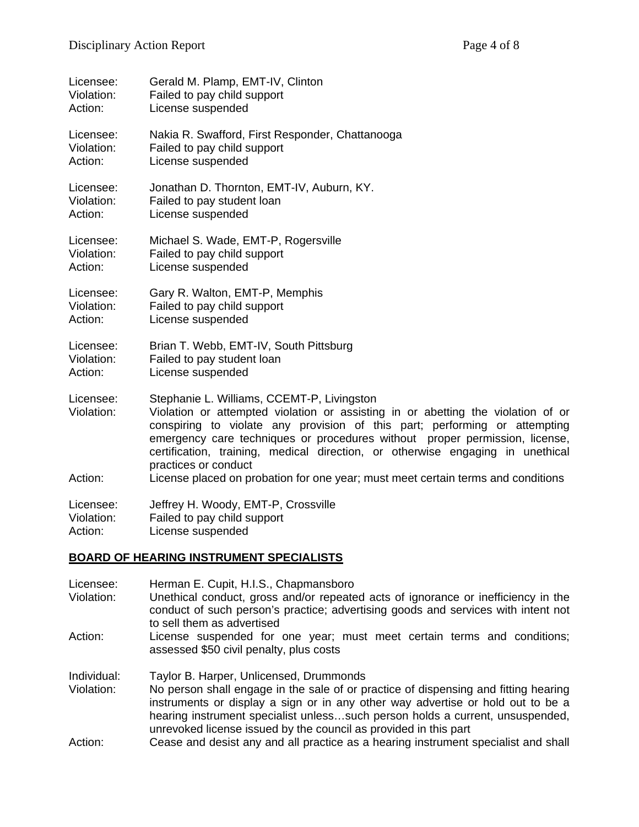| Licensee:               | Gerald M. Plamp, EMT-IV, Clinton                                                                                                                                                                                                                                                                                                                                                                      |
|-------------------------|-------------------------------------------------------------------------------------------------------------------------------------------------------------------------------------------------------------------------------------------------------------------------------------------------------------------------------------------------------------------------------------------------------|
| Violation:              | Failed to pay child support                                                                                                                                                                                                                                                                                                                                                                           |
| Action:                 | License suspended                                                                                                                                                                                                                                                                                                                                                                                     |
| Licensee:               | Nakia R. Swafford, First Responder, Chattanooga                                                                                                                                                                                                                                                                                                                                                       |
| Violation:              | Failed to pay child support                                                                                                                                                                                                                                                                                                                                                                           |
| Action:                 | License suspended                                                                                                                                                                                                                                                                                                                                                                                     |
| Licensee:               | Jonathan D. Thornton, EMT-IV, Auburn, KY.                                                                                                                                                                                                                                                                                                                                                             |
| Violation:              | Failed to pay student loan                                                                                                                                                                                                                                                                                                                                                                            |
| Action:                 | License suspended                                                                                                                                                                                                                                                                                                                                                                                     |
| Licensee:               | Michael S. Wade, EMT-P, Rogersville                                                                                                                                                                                                                                                                                                                                                                   |
| Violation:              | Failed to pay child support                                                                                                                                                                                                                                                                                                                                                                           |
| Action:                 | License suspended                                                                                                                                                                                                                                                                                                                                                                                     |
| Licensee:               | Gary R. Walton, EMT-P, Memphis                                                                                                                                                                                                                                                                                                                                                                        |
| Violation:              | Failed to pay child support                                                                                                                                                                                                                                                                                                                                                                           |
| Action:                 | License suspended                                                                                                                                                                                                                                                                                                                                                                                     |
| Licensee:               | Brian T. Webb, EMT-IV, South Pittsburg                                                                                                                                                                                                                                                                                                                                                                |
| Violation:              | Failed to pay student loan                                                                                                                                                                                                                                                                                                                                                                            |
| Action:                 | License suspended                                                                                                                                                                                                                                                                                                                                                                                     |
| Licensee:<br>Violation: | Stephanie L. Williams, CCEMT-P, Livingston<br>Violation or attempted violation or assisting in or abetting the violation of or<br>conspiring to violate any provision of this part; performing or attempting<br>emergency care techniques or procedures without proper permission, license,<br>certification, training, medical direction, or otherwise engaging in unethical<br>practices or conduct |
| Action:                 | License placed on probation for one year; must meet certain terms and conditions                                                                                                                                                                                                                                                                                                                      |
| Licensee:               | Jeffrey H. Woody, EMT-P, Crossville                                                                                                                                                                                                                                                                                                                                                                   |
| Violation:              | Failed to pay child support                                                                                                                                                                                                                                                                                                                                                                           |
| Action:                 | License suspended                                                                                                                                                                                                                                                                                                                                                                                     |

#### **BOARD OF HEARING INSTRUMENT SPECIALISTS**

| Licensee:<br>Violation:   | Herman E. Cupit, H.I.S., Chapmansboro<br>Unethical conduct, gross and/or repeated acts of ignorance or inefficiency in the<br>conduct of such person's practice; advertising goods and services with intent not<br>to sell them as advertised                                                                                                                          |
|---------------------------|------------------------------------------------------------------------------------------------------------------------------------------------------------------------------------------------------------------------------------------------------------------------------------------------------------------------------------------------------------------------|
| Action:                   | License suspended for one year; must meet certain terms and conditions;<br>assessed \$50 civil penalty, plus costs                                                                                                                                                                                                                                                     |
| Individual:<br>Violation: | Taylor B. Harper, Unlicensed, Drummonds<br>No person shall engage in the sale of or practice of dispensing and fitting hearing<br>instruments or display a sign or in any other way advertise or hold out to be a<br>hearing instrument specialist unlesssuch person holds a current, unsuspended,<br>unrevoked license issued by the council as provided in this part |
| Action:                   | Cease and desist any and all practice as a hearing instrument specialist and shall                                                                                                                                                                                                                                                                                     |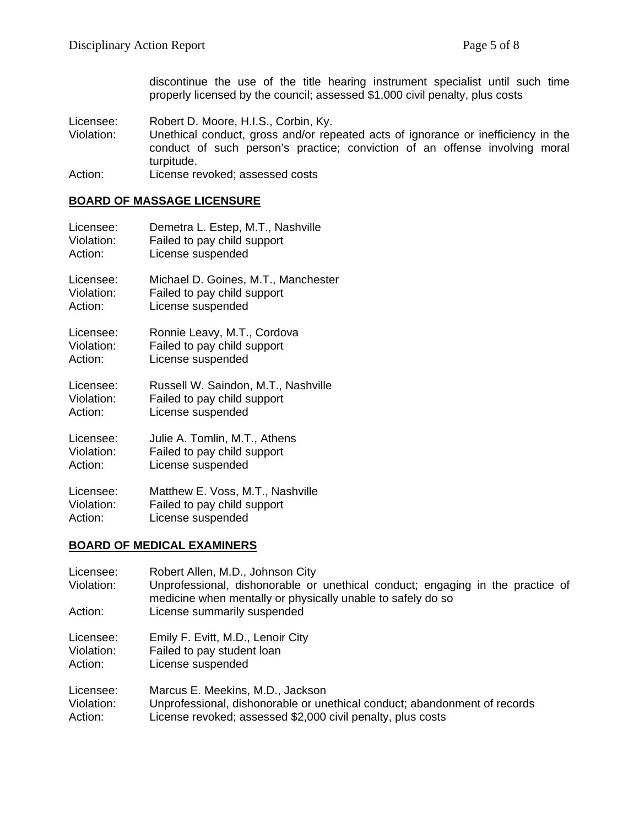discontinue the use of the title hearing instrument specialist until such time properly licensed by the council; assessed \$1,000 civil penalty, plus costs

- Licensee: Robert D. Moore, H.I.S., Corbin, Ky.<br>Violation: Unethical conduct. gross and/or rep Unethical conduct, gross and/or repeated acts of ignorance or inefficiency in the conduct of such person's practice; conviction of an offense involving moral turpitude.
- Action: License revoked; assessed costs

#### **BOARD OF MASSAGE LICENSURE**

| Licensee:  | Demetra L. Estep, M.T., Nashville   |
|------------|-------------------------------------|
| Violation: | Failed to pay child support         |
| Action:    | License suspended                   |
| Licensee:  | Michael D. Goines, M.T., Manchester |
| Violation: | Failed to pay child support         |
| Action:    | License suspended                   |
| Licensee:  | Ronnie Leavy, M.T., Cordova         |
| Violation: | Failed to pay child support         |
| Action:    | License suspended                   |
| Licensee:  | Russell W. Saindon, M.T., Nashville |
| Violation: | Failed to pay child support         |
| Action:    | License suspended                   |
| Licensee:  | Julie A. Tomlin, M.T., Athens       |
| Violation: | Failed to pay child support         |
| Action:    | License suspended                   |
| Licensee:  | Matthew E. Voss, M.T., Nashville    |
| Violation: | Failed to pay child support         |
| Action:    | License suspended                   |

#### **BOARD OF MEDICAL EXAMINERS**

| Licensee:<br>Violation: | Robert Allen, M.D., Johnson City<br>Unprofessional, dishonorable or unethical conduct; engaging in the practice of<br>medicine when mentally or physically unable to safely do so |
|-------------------------|-----------------------------------------------------------------------------------------------------------------------------------------------------------------------------------|
| Action:                 | License summarily suspended                                                                                                                                                       |
| Licensee:               | Emily F. Evitt, M.D., Lenoir City                                                                                                                                                 |
| Violation:              | Failed to pay student loan                                                                                                                                                        |
| Action:                 | License suspended                                                                                                                                                                 |
| Licensee:               | Marcus E. Meekins, M.D., Jackson                                                                                                                                                  |
| Violation:              | Unprofessional, dishonorable or unethical conduct; abandonment of records                                                                                                         |
| Action:                 | License revoked; assessed \$2,000 civil penalty, plus costs                                                                                                                       |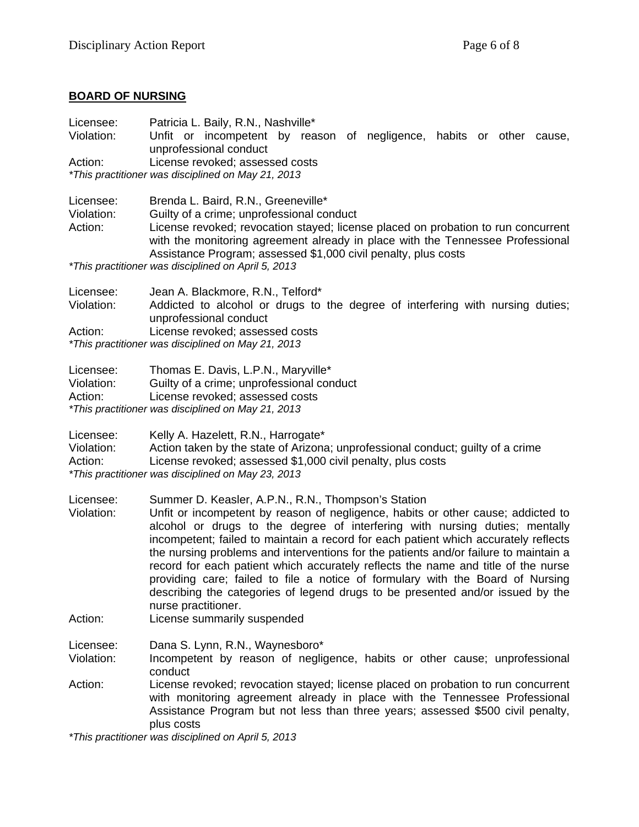### **BOARD OF NURSING**

| Licensee:<br>Violation:<br>Action: | Patricia L. Baily, R.N., Nashville*<br>Unfit or incompetent by reason of negligence, habits or other<br>cause,<br>unprofessional conduct<br>License revoked; assessed costs<br>*This practitioner was disciplined on May 21, 2013                                                                                                                                                                                                                                                                                                                                                                                                                                                     |  |  |
|------------------------------------|---------------------------------------------------------------------------------------------------------------------------------------------------------------------------------------------------------------------------------------------------------------------------------------------------------------------------------------------------------------------------------------------------------------------------------------------------------------------------------------------------------------------------------------------------------------------------------------------------------------------------------------------------------------------------------------|--|--|
| Licensee:<br>Violation:<br>Action: | Brenda L. Baird, R.N., Greeneville*<br>Guilty of a crime; unprofessional conduct<br>License revoked; revocation stayed; license placed on probation to run concurrent<br>with the monitoring agreement already in place with the Tennessee Professional<br>Assistance Program; assessed \$1,000 civil penalty, plus costs                                                                                                                                                                                                                                                                                                                                                             |  |  |
|                                    | *This practitioner was disciplined on April 5, 2013                                                                                                                                                                                                                                                                                                                                                                                                                                                                                                                                                                                                                                   |  |  |
| Licensee:<br>Violation:            | Jean A. Blackmore, R.N., Telford*<br>Addicted to alcohol or drugs to the degree of interfering with nursing duties;<br>unprofessional conduct                                                                                                                                                                                                                                                                                                                                                                                                                                                                                                                                         |  |  |
| Action:                            | License revoked; assessed costs<br>*This practitioner was disciplined on May 21, 2013                                                                                                                                                                                                                                                                                                                                                                                                                                                                                                                                                                                                 |  |  |
| Licensee:<br>Violation:<br>Action: | Thomas E. Davis, L.P.N., Maryville*<br>Guilty of a crime; unprofessional conduct<br>License revoked; assessed costs<br>*This practitioner was disciplined on May 21, 2013                                                                                                                                                                                                                                                                                                                                                                                                                                                                                                             |  |  |
| Licensee:<br>Violation:<br>Action: | Kelly A. Hazelett, R.N., Harrogate*<br>Action taken by the state of Arizona; unprofessional conduct; guilty of a crime<br>License revoked; assessed \$1,000 civil penalty, plus costs<br>*This practitioner was disciplined on May 23, 2013                                                                                                                                                                                                                                                                                                                                                                                                                                           |  |  |
| Licensee:<br>Violation:<br>Action: | Summer D. Keasler, A.P.N., R.N., Thompson's Station<br>Unfit or incompetent by reason of negligence, habits or other cause; addicted to<br>alcohol or drugs to the degree of interfering with nursing duties; mentally<br>incompetent; failed to maintain a record for each patient which accurately reflects<br>the nursing problems and interventions for the patients and/or failure to maintain a<br>record for each patient which accurately reflects the name and title of the nurse<br>providing care; failed to file a notice of formulary with the Board of Nursing<br>describing the categories of legend drugs to be presented and/or issued by the<br>nurse practitioner. |  |  |
|                                    | License summarily suspended                                                                                                                                                                                                                                                                                                                                                                                                                                                                                                                                                                                                                                                           |  |  |
| Licensee:<br>Violation:            | Dana S. Lynn, R.N., Waynesboro*<br>Incompetent by reason of negligence, habits or other cause; unprofessional<br>conduct                                                                                                                                                                                                                                                                                                                                                                                                                                                                                                                                                              |  |  |
| Action:                            | License revoked; revocation stayed; license placed on probation to run concurrent<br>with monitoring agreement already in place with the Tennessee Professional<br>Assistance Program but not less than three years; assessed \$500 civil penalty,<br>plus costs                                                                                                                                                                                                                                                                                                                                                                                                                      |  |  |

*\*This practitioner was disciplined on April 5, 2013*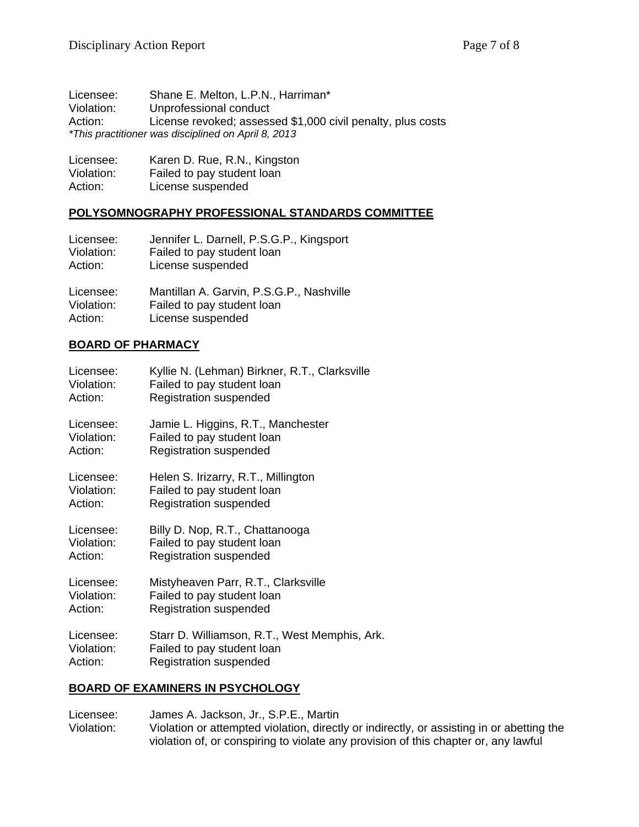| Licensee:  | Shane E. Melton, L.P.N., Harriman*                          |
|------------|-------------------------------------------------------------|
| Violation: | Unprofessional conduct                                      |
| Action:    | License revoked; assessed \$1,000 civil penalty, plus costs |
|            | *This practitioner was disciplined on April 8, 2013         |

| Licensee:  | Karen D. Rue, R.N., Kingston |
|------------|------------------------------|
| Violation: | Failed to pay student loan   |
| Action:    | License suspended            |

#### **POLYSOMNOGRAPHY PROFESSIONAL STANDARDS COMMITTEE**

| Licensee:  | Jennifer L. Darnell, P.S.G.P., Kingsport |
|------------|------------------------------------------|
| Violation: | Failed to pay student loan               |
| Action:    | License suspended                        |
| Licensee:  | Mantillan A. Garvin, P.S.G.P., Nashville |
| Violation: | Failed to pay student loan               |
| Action:    | License suspended                        |

#### **BOARD OF PHARMACY**

| Licensee:  | Kyllie N. (Lehman) Birkner, R.T., Clarksville |
|------------|-----------------------------------------------|
| Violation: | Failed to pay student loan                    |
| Action:    | <b>Registration suspended</b>                 |
| Licensee:  | Jamie L. Higgins, R.T., Manchester            |
| Violation: | Failed to pay student loan                    |
| Action:    | <b>Registration suspended</b>                 |
| Licensee:  | Helen S. Irizarry, R.T., Millington           |
| Violation: | Failed to pay student loan                    |
| Action:    | <b>Registration suspended</b>                 |
| Licensee:  | Billy D. Nop, R.T., Chattanooga               |
| Violation: | Failed to pay student loan                    |
| Action:    | <b>Registration suspended</b>                 |
| Licensee:  | Mistyheaven Parr, R.T., Clarksville           |
| Violation: | Failed to pay student loan                    |
| Action:    | <b>Registration suspended</b>                 |
| Licensee:  | Starr D. Williamson, R.T., West Memphis, Ark. |
| Violation: | Failed to pay student loan                    |
| Action:    | <b>Registration suspended</b>                 |

### **BOARD OF EXAMINERS IN PSYCHOLOGY**

Licensee: James A. Jackson, Jr., S.P.E., Martin<br>Violation: Violation or attempted violation, directl Violation or attempted violation, directly or indirectly, or assisting in or abetting the violation of, or conspiring to violate any provision of this chapter or, any lawful